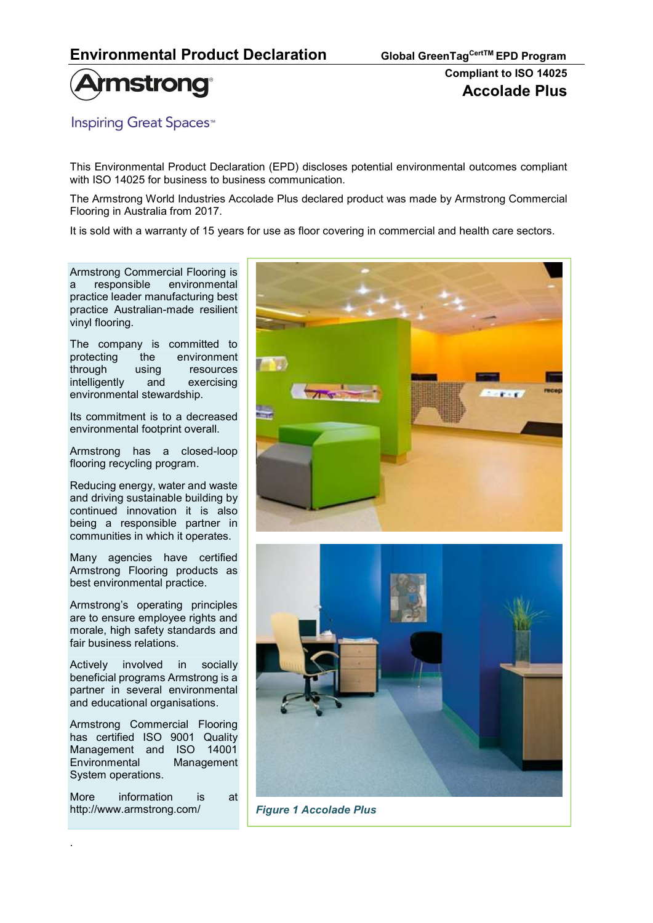

**Inspiring Great Spaces**<sup>™</sup>

This Environmental Product Declaration (EPD) discloses potential environmental outcomes compliant with ISO 14025 for business to business communication.

The Armstrong World Industries Accolade Plus declared product was made by Armstrong Commercial Flooring in Australia from 2017.

It is sold with a warranty of 15 years for use as floor covering in commercial and health care sectors.

Armstrong Commercial Flooring is a responsible environmental practice leader manufacturing best practice Australian-made resilient vinyl flooring.

The company is committed to protecting the environment through using resources intelligently and exercising environmental stewardship.

Its commitment is to a decreased environmental footprint overall.

Armstrong has a closed-loop flooring recycling program.

Reducing energy, water and waste and driving sustainable building by continued innovation it is also being a responsible partner in communities in which it operates.

Many agencies have certified Armstrong Flooring products as best environmental practice.

Armstrong's operating principles are to ensure employee rights and morale, high safety standards and fair business relations.

Actively involved in socially beneficial programs Armstrong is a partner in several environmental and educational organisations.

Armstrong Commercial Flooring has certified ISO 9001 Quality Management and ISO 14001 Environmental Management System operations.

More information is at http://www.armstrong.com/





Figure 1 Accolade Plus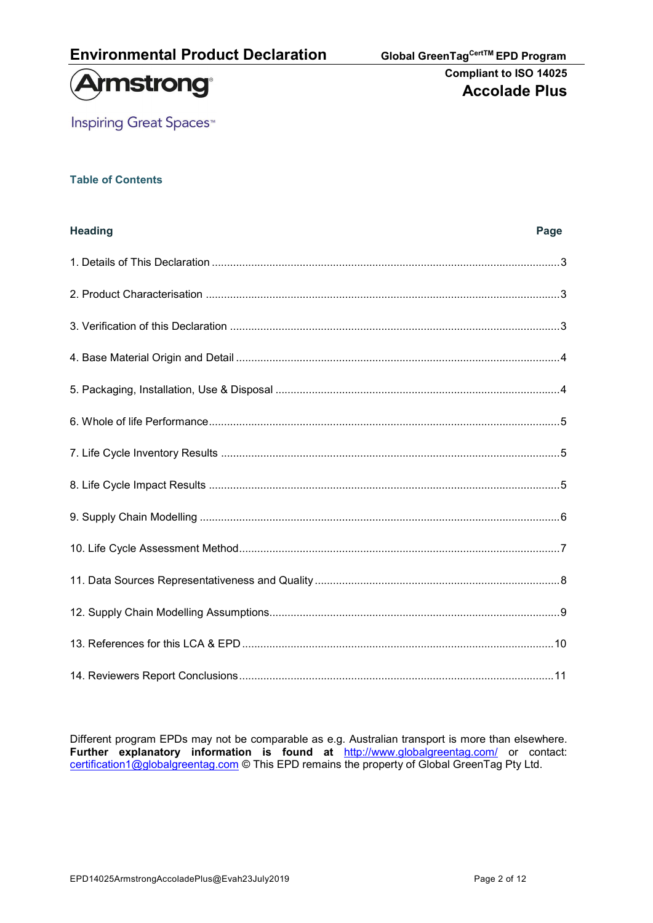



**Inspiring Great Spaces<sup>™</sup>** 

## Table of Contents

| <b>Heading</b> | Page |
|----------------|------|
|                |      |
|                |      |
|                |      |
|                |      |
|                |      |
|                |      |
|                |      |
|                |      |
|                |      |
|                |      |
|                |      |
|                |      |
|                |      |
|                |      |

Different program EPDs may not be comparable as e.g. Australian transport is more than elsewhere. Further explanatory information is found at http://www.globalgreentag.com/ or contact: certification1@globalgreentag.com © This EPD remains the property of Global GreenTag Pty Ltd.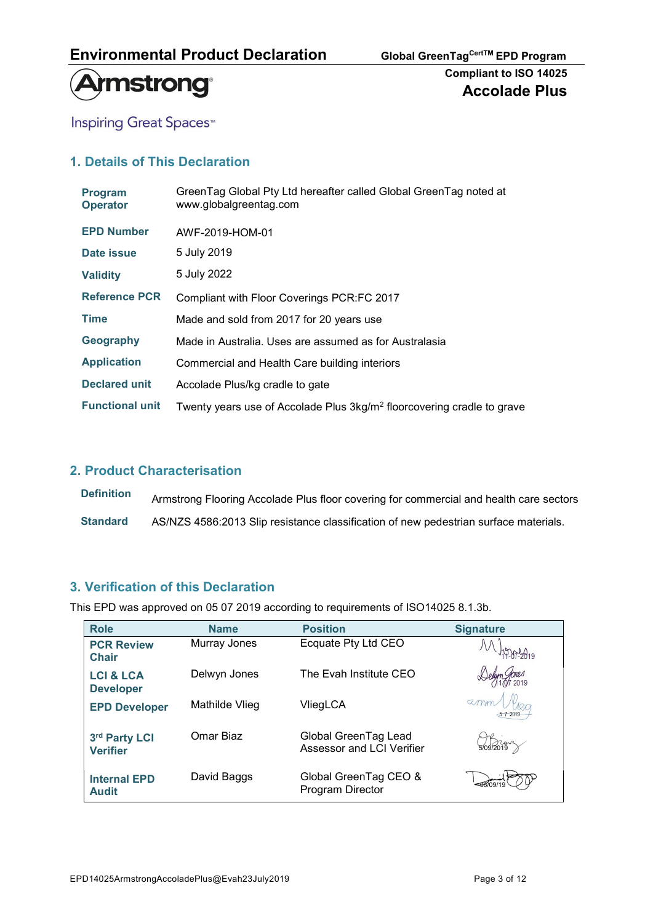

**Inspiring Great Spaces<sup>™</sup>** 

# 1. Details of This Declaration

| Program<br><b>Operator</b> | GreenTag Global Pty Ltd hereafter called Global GreenTag noted at<br>www.globalgreentag.com |
|----------------------------|---------------------------------------------------------------------------------------------|
| <b>EPD Number</b>          | AWF-2019-HOM-01                                                                             |
| Date issue                 | 5 July 2019                                                                                 |
| <b>Validity</b>            | 5 July 2022                                                                                 |
| <b>Reference PCR</b>       | Compliant with Floor Coverings PCR:FC 2017                                                  |
| <b>Time</b>                | Made and sold from 2017 for 20 years use                                                    |
| Geography                  | Made in Australia. Uses are assumed as for Australasia                                      |
| <b>Application</b>         | Commercial and Health Care building interiors                                               |
| <b>Declared unit</b>       | Accolade Plus/kg cradle to gate                                                             |
| <b>Functional unit</b>     | Twenty years use of Accolade Plus 3kg/m <sup>2</sup> floorcovering cradle to grave          |

### 2. Product Characterisation

Definition Armstrong Flooring Accolade Plus floor covering for commercial and health care sectors Standard AS/NZS 4586:2013 Slip resistance classification of new pedestrian surface materials.

## 3. Verification of this Declaration

This EPD was approved on 05 07 2019 according to requirements of ISO14025 8.1.3b.

| <b>Role</b>                              | <b>Name</b>    | <b>Position</b>                                   | <b>Signature</b>         |
|------------------------------------------|----------------|---------------------------------------------------|--------------------------|
| <b>PCR Review</b><br><b>Chair</b>        | Murray Jones   | Ecquate Pty Ltd CEO                               |                          |
| <b>LCI &amp; LCA</b><br><b>Developer</b> | Delwyn Jones   | The Evah Institute CEO                            |                          |
| <b>EPD Developer</b>                     | Mathilde Vlieg | VliegLCA                                          | $\alpha$ mm<br>$-572019$ |
| 3rd Party LCI<br><b>Verifier</b>         | Omar Biaz      | Global GreenTag Lead<br>Assessor and LCI Verifier | 5/09/2019                |
| <b>Internal EPD</b><br><b>Audit</b>      | David Baggs    | Global GreenTag CEO &<br>Program Director         |                          |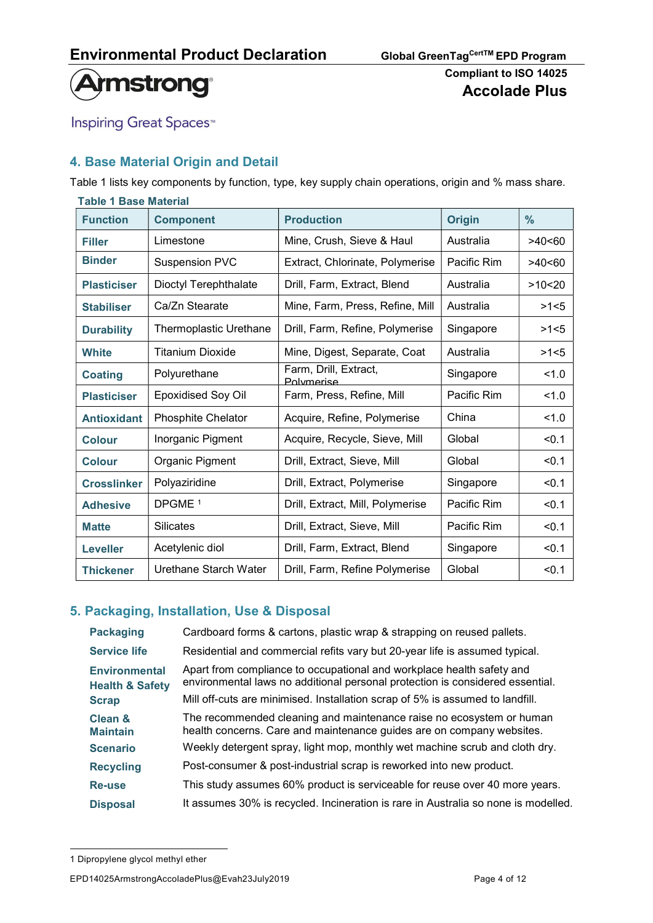

**Inspiring Great Spaces<sup>™</sup>** 

# 4. Base Material Origin and Detail

Table 1 lists key components by function, type, key supply chain operations, origin and % mass share.

| <b>Table 1 Base Material</b> |                           |                                     |               |               |
|------------------------------|---------------------------|-------------------------------------|---------------|---------------|
| <b>Function</b>              | <b>Component</b>          | <b>Production</b>                   | <b>Origin</b> | $\frac{9}{6}$ |
| <b>Filler</b>                | Limestone                 | Mine, Crush, Sieve & Haul           | Australia     | >40<60        |
| <b>Binder</b>                | <b>Suspension PVC</b>     | Extract, Chlorinate, Polymerise     | Pacific Rim   | >40<60        |
| <b>Plasticiser</b>           | Dioctyl Terephthalate     | Drill, Farm, Extract, Blend         | Australia     | >10<20        |
| <b>Stabiliser</b>            | Ca/Zn Stearate            | Mine, Farm, Press, Refine, Mill     | Australia     | >1<5          |
| <b>Durability</b>            | Thermoplastic Urethane    | Drill, Farm, Refine, Polymerise     | Singapore     | >1<5          |
| <b>White</b>                 | <b>Titanium Dioxide</b>   | Mine, Digest, Separate, Coat        | Australia     | >1<5          |
| <b>Coating</b>               | Polyurethane              | Farm, Drill, Extract,<br>Polymerise | Singapore     | 1.0           |
| <b>Plasticiser</b>           | <b>Epoxidised Soy Oil</b> | Farm, Press, Refine, Mill           | Pacific Rim   | 1.0           |
| <b>Antioxidant</b>           | <b>Phosphite Chelator</b> | Acquire, Refine, Polymerise         | China         | 1.0           |
| <b>Colour</b>                | Inorganic Pigment         | Acquire, Recycle, Sieve, Mill       | Global        | < 0.1         |
| <b>Colour</b>                | Organic Pigment           | Drill, Extract, Sieve, Mill         | Global        | < 0.1         |
| <b>Crosslinker</b>           | Polyaziridine             | Drill, Extract, Polymerise          | Singapore     | < 0.1         |
| <b>Adhesive</b>              | DPGME <sup>1</sup>        | Drill, Extract, Mill, Polymerise    | Pacific Rim   | < 0.1         |
| <b>Matte</b>                 | <b>Silicates</b>          | Drill, Extract, Sieve, Mill         | Pacific Rim   | < 0.1         |
| <b>Leveller</b>              | Acetylenic diol           | Drill, Farm, Extract, Blend         | Singapore     | < 0.1         |
| <b>Thickener</b>             | Urethane Starch Water     | Drill, Farm, Refine Polymerise      | Global        | < 0.1         |

## 5. Packaging, Installation, Use & Disposal

| <b>Packaging</b>                                   | Cardboard forms & cartons, plastic wrap & strapping on reused pallets.                                                                                 |
|----------------------------------------------------|--------------------------------------------------------------------------------------------------------------------------------------------------------|
| <b>Service life</b>                                | Residential and commercial refits vary but 20-year life is assumed typical.                                                                            |
| <b>Environmental</b><br><b>Health &amp; Safety</b> | Apart from compliance to occupational and workplace health safety and<br>environmental laws no additional personal protection is considered essential. |
| <b>Scrap</b>                                       | Mill off-cuts are minimised. Installation scrap of 5% is assumed to landfill.                                                                          |
| Clean &<br><b>Maintain</b>                         | The recommended cleaning and maintenance raise no ecosystem or human<br>health concerns. Care and maintenance guides are on company websites.          |
| <b>Scenario</b>                                    | Weekly detergent spray, light mop, monthly wet machine scrub and cloth dry.                                                                            |
| <b>Recycling</b>                                   | Post-consumer & post-industrial scrap is reworked into new product.                                                                                    |
| Re-use                                             | This study assumes 60% product is serviceable for reuse over 40 more years.                                                                            |
| <b>Disposal</b>                                    | It assumes 30% is recycled. Incineration is rare in Australia so none is modelled.                                                                     |

<sup>1</sup> Dipropylene glycol methyl ether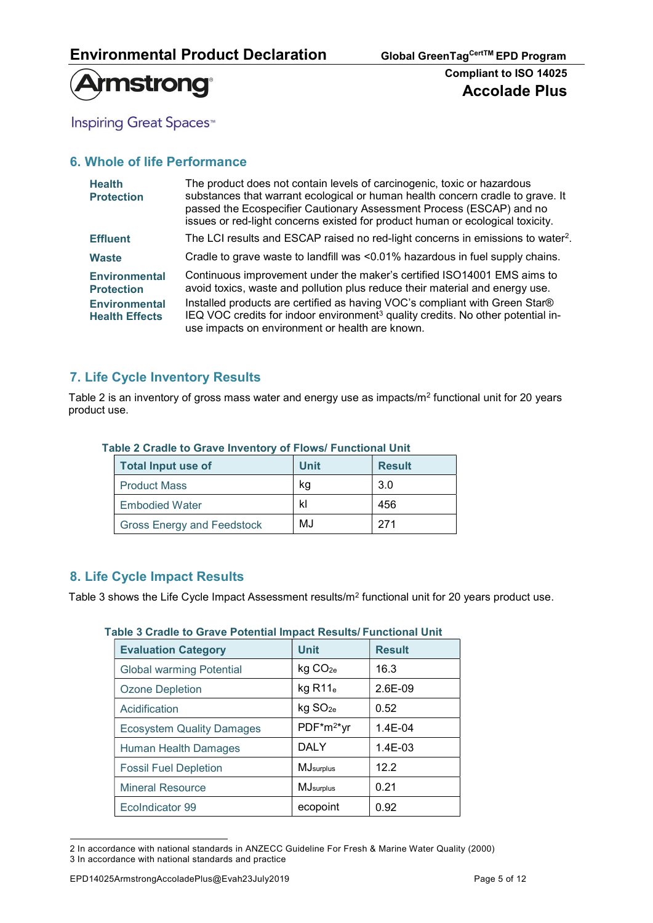

**Inspiring Great Spaces<sup>™</sup>** 

# 6. Whole of life Performance

| <b>Health</b><br><b>Protection</b>                                                         | The product does not contain levels of carcinogenic, toxic or hazardous<br>substances that warrant ecological or human health concern cradle to grave. It<br>passed the Ecospecifier Cautionary Assessment Process (ESCAP) and no<br>issues or red-light concerns existed for product human or ecological toxicity.                                                                      |
|--------------------------------------------------------------------------------------------|------------------------------------------------------------------------------------------------------------------------------------------------------------------------------------------------------------------------------------------------------------------------------------------------------------------------------------------------------------------------------------------|
| <b>Effluent</b>                                                                            | The LCI results and ESCAP raised no red-light concerns in emissions to water <sup>2</sup> .                                                                                                                                                                                                                                                                                              |
| <b>Waste</b>                                                                               | Cradle to grave waste to landfill was <0.01% hazardous in fuel supply chains.                                                                                                                                                                                                                                                                                                            |
| <b>Environmental</b><br><b>Protection</b><br><b>Environmental</b><br><b>Health Effects</b> | Continuous improvement under the maker's certified ISO14001 EMS aims to<br>avoid toxics, waste and pollution plus reduce their material and energy use.<br>Installed products are certified as having VOC's compliant with Green Star®<br>IEQ VOC credits for indoor environment <sup>3</sup> quality credits. No other potential in-<br>use impacts on environment or health are known. |

### 7. Life Cycle Inventory Results

Table 2 is an inventory of gross mass water and energy use as impacts/m<sup>2</sup> functional unit for 20 years product use.

| <b>Total Input use of</b>         | <b>Unit</b> | <b>Result</b> |
|-----------------------------------|-------------|---------------|
| <b>Product Mass</b>               | kq          | 3.0           |
| <b>Embodied Water</b>             | kl          | 456           |
| <b>Gross Energy and Feedstock</b> | MJ          | 271           |

#### Table 2 Cradle to Grave Inventory of Flows/ Functional Unit

### 8. Life Cycle Impact Results

Table 3 shows the Life Cycle Impact Assessment results/m<sup>2</sup> functional unit for 20 years product use.

| <b>Evaluation Category</b>       | <b>Unit</b>           | <b>Result</b> |
|----------------------------------|-----------------------|---------------|
| <b>Global warming Potential</b>  | kg CO <sub>2e</sub>   | 16.3          |
| <b>Ozone Depletion</b>           | kg R11e               | 2.6E-09       |
| Acidification                    | kg SO <sub>2e</sub>   | 0.52          |
| <b>Ecosystem Quality Damages</b> | $PDF*m2*vr$           | $1.4E - 04$   |
| <b>Human Health Damages</b>      | <b>DALY</b>           | $1.4E - 03$   |
| <b>Fossil Fuel Depletion</b>     | MJ <sub>surplus</sub> | 12.2          |
| <b>Mineral Resource</b>          | MJ <sub>surplus</sub> | 0.21          |
| EcoIndicator 99                  | ecopoint              | 0.92          |

### Table 3 Cradle to Grave Potential Impact Results/ Functional Unit

<sup>2</sup> In accordance with national standards in ANZECC Guideline For Fresh & Marine Water Quality (2000) 3 In accordance with national standards and practice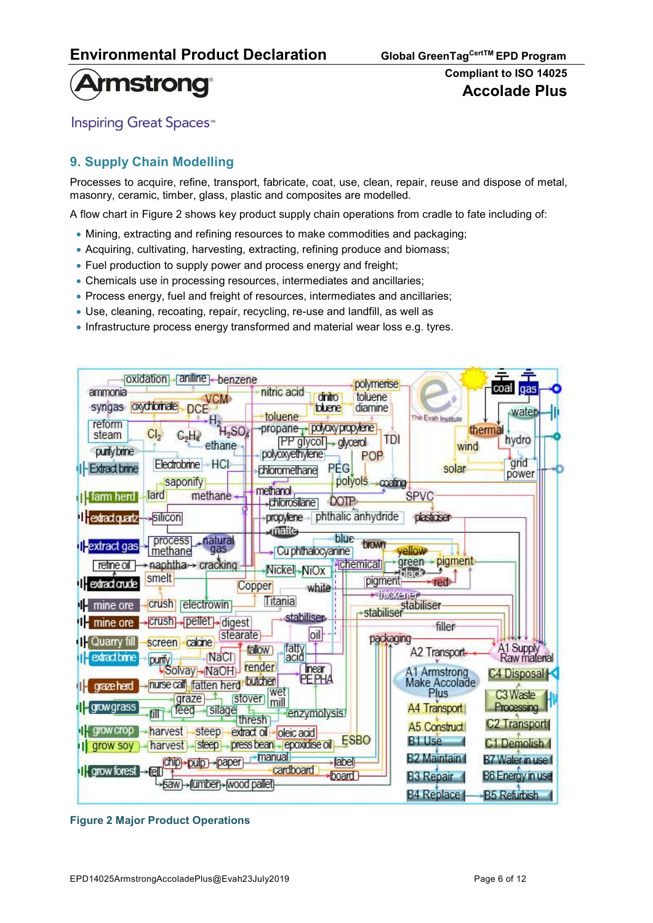

**Inspiring Great Spaces**<sup>™</sup>

# 9. Supply Chain Modelling

Processes to acquire, refine, transport, fabricate, coat, use, clean, repair, reuse and dispose of metal, masonry, ceramic, timber, glass, plastic and composites are modelled.

A flow chart in Figure 2 shows key product supply chain operations from cradle to fate including of:

- Mining, extracting and refining resources to make commodities and packaging;
- Acquiring, cultivating, harvesting, extracting, refining produce and biomass;
- Fuel production to supply power and process energy and freight;
- Chemicals use in processing resources, intermediates and ancillaries;
- Process energy, fuel and freight of resources, intermediates and ancillaries;
- Use, cleaning, recoating, repair, recycling, re-use and landfill, as well as
- Infrastructure process energy transformed and material wear loss e.g. tyres.



Figure 2 Major Product Operations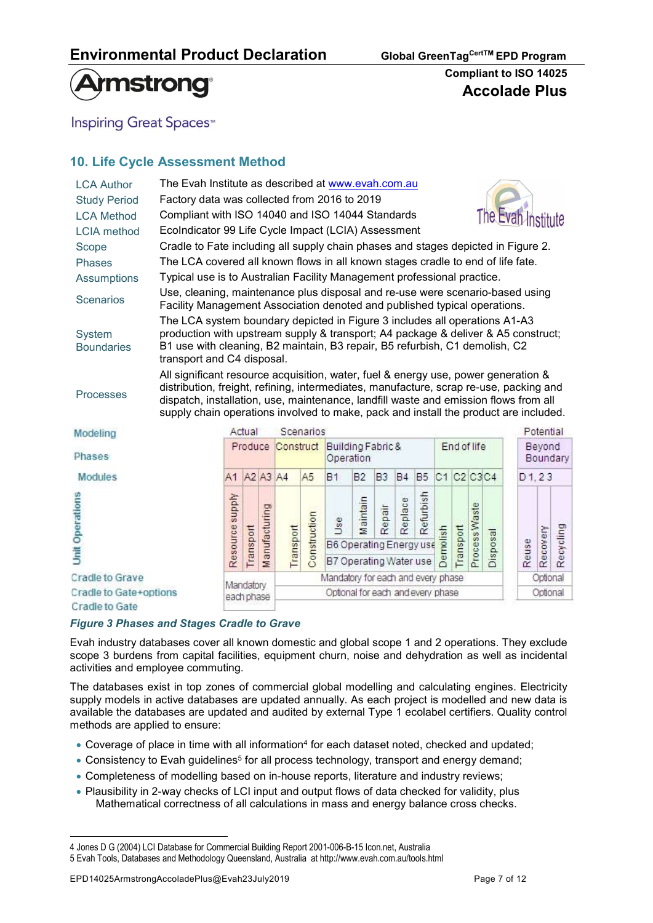

**Inspiring Great Spaces**<sup>™</sup>

## 10. Life Cycle Assessment Method

| <b>LCA Author</b>                  | The Evah Institute as described at www.evah.com.au                                                                                                                                                                                                                                                                                                           |                                                                                                                                                            |           |               |           |              |                                                          |                |                |           |           |                 |             |               |          |       |           |           |
|------------------------------------|--------------------------------------------------------------------------------------------------------------------------------------------------------------------------------------------------------------------------------------------------------------------------------------------------------------------------------------------------------------|------------------------------------------------------------------------------------------------------------------------------------------------------------|-----------|---------------|-----------|--------------|----------------------------------------------------------|----------------|----------------|-----------|-----------|-----------------|-------------|---------------|----------|-------|-----------|-----------|
| <b>Study Period</b>                | Factory data was collected from 2016 to 2019                                                                                                                                                                                                                                                                                                                 |                                                                                                                                                            |           |               |           |              |                                                          |                |                |           |           |                 |             |               |          |       |           |           |
| <b>LCA Method</b>                  |                                                                                                                                                                                                                                                                                                                                                              | The Evan Institute<br>Compliant with ISO 14040 and ISO 14044 Standards                                                                                     |           |               |           |              |                                                          |                |                |           |           |                 |             |               |          |       |           |           |
| <b>LCIA</b> method                 |                                                                                                                                                                                                                                                                                                                                                              | EcoIndicator 99 Life Cycle Impact (LCIA) Assessment                                                                                                        |           |               |           |              |                                                          |                |                |           |           |                 |             |               |          |       |           |           |
| Scope                              |                                                                                                                                                                                                                                                                                                                                                              | Cradle to Fate including all supply chain phases and stages depicted in Figure 2.                                                                          |           |               |           |              |                                                          |                |                |           |           |                 |             |               |          |       |           |           |
| <b>Phases</b>                      |                                                                                                                                                                                                                                                                                                                                                              | The LCA covered all known flows in all known stages cradle to end of life fate.                                                                            |           |               |           |              |                                                          |                |                |           |           |                 |             |               |          |       |           |           |
| <b>Assumptions</b>                 |                                                                                                                                                                                                                                                                                                                                                              | Typical use is to Australian Facility Management professional practice.                                                                                    |           |               |           |              |                                                          |                |                |           |           |                 |             |               |          |       |           |           |
| <b>Scenarios</b>                   |                                                                                                                                                                                                                                                                                                                                                              | Use, cleaning, maintenance plus disposal and re-use were scenario-based using<br>Facility Management Association denoted and published typical operations. |           |               |           |              |                                                          |                |                |           |           |                 |             |               |          |       |           |           |
| <b>System</b><br><b>Boundaries</b> | The LCA system boundary depicted in Figure 3 includes all operations A1-A3<br>production with upstream supply & transport; A4 package & deliver & A5 construct;<br>B1 use with cleaning, B2 maintain, B3 repair, B5 refurbish, C1 demolish, C2<br>transport and C4 disposal.                                                                                 |                                                                                                                                                            |           |               |           |              |                                                          |                |                |           |           |                 |             |               |          |       |           |           |
| <b>Processes</b>                   | All significant resource acquisition, water, fuel & energy use, power generation &<br>distribution, freight, refining, intermediates, manufacture, scrap re-use, packing and<br>dispatch, installation, use, maintenance, landfill waste and emission flows from all<br>supply chain operations involved to make, pack and install the product are included. |                                                                                                                                                            |           |               |           |              |                                                          |                |                |           |           |                 |             |               |          |       |           |           |
| Modeling                           |                                                                                                                                                                                                                                                                                                                                                              |                                                                                                                                                            | Actual    |               |           | Scenarios    |                                                          |                |                |           |           |                 |             |               |          |       | Potential |           |
| Phases                             |                                                                                                                                                                                                                                                                                                                                                              |                                                                                                                                                            | Produce   |               | Construct |              | Building Fabric &<br>Operation                           |                |                |           |           |                 | End of life |               |          |       | Beyond    | Boundary  |
| <b>Modules</b>                     |                                                                                                                                                                                                                                                                                                                                                              | A1                                                                                                                                                         |           | A2 A3 A4      |           | A5           | <b>B1</b>                                                | B <sub>2</sub> | B <sub>3</sub> | <b>B4</b> | <b>B5</b> | C1 C2 C3 C4     |             |               |          |       | D1, 23    |           |
| <b>Unit Operations</b>             |                                                                                                                                                                                                                                                                                                                                                              | Resource supply                                                                                                                                            | Transport | Manufacturing | Transport | Construction | Use<br>B6 Operating Energy use<br>B7 Operating Water use | Maintain       | Repair         | Replace   | Refurbish | <b>Demolish</b> | Transport   | Process Waste | Disposal | Reuse | Recovery  | Recycling |
| <b>Cradle to Grave</b>             |                                                                                                                                                                                                                                                                                                                                                              | Mandatory                                                                                                                                                  |           |               |           |              | Mandatory for each and every phase                       |                |                |           |           |                 |             |               |          |       | Optional  |           |
| Cradle to Gate+options             |                                                                                                                                                                                                                                                                                                                                                              | each phase                                                                                                                                                 |           |               |           |              | Optional for each and every phase                        |                |                |           |           |                 |             |               |          |       | Optional  |           |

Cradle to Gate Figure 3 Phases and Stages Cradle to Grave

Evah industry databases cover all known domestic and global scope 1 and 2 operations. They exclude scope 3 burdens from capital facilities, equipment churn, noise and dehydration as well as incidental activities and employee commuting.

The databases exist in top zones of commercial global modelling and calculating engines. Electricity supply models in active databases are updated annually. As each project is modelled and new data is available the databases are updated and audited by external Type 1 ecolabel certifiers. Quality control methods are applied to ensure:

- Coverage of place in time with all information<sup>4</sup> for each dataset noted, checked and updated;
- Consistency to Evah guidelines<sup>5</sup> for all process technology, transport and energy demand;
- Completeness of modelling based on in-house reports, literature and industry reviews;
- Plausibility in 2-way checks of LCI input and output flows of data checked for validity, plus Mathematical correctness of all calculations in mass and energy balance cross checks.

<sup>4</sup> Jones D G (2004) LCI Database for Commercial Building Report 2001-006-B-15 Icon.net, Australia 5 Evah Tools, Databases and Methodology Queensland, Australia at http://www.evah.com.au/tools.html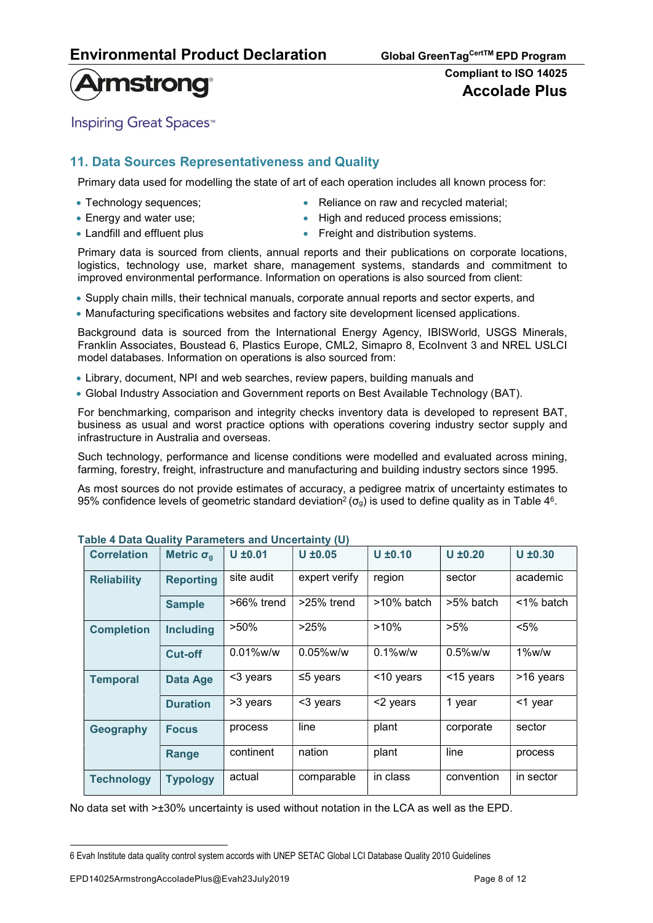# **Armstrong**

## Compliant to ISO 14025 Accolade Plus

**Inspiring Great Spaces**<sup>™</sup>

## 11. Data Sources Representativeness and Quality

Primary data used for modelling the state of art of each operation includes all known process for:

- 
- 
- Technology sequences;  $\bullet$  Reliance on raw and recycled material;
- Energy and water use;  $\bullet$  High and reduced process emissions;
- 
- Landfill and effluent plus **FREIGHT 1** Freight and distribution systems.

Primary data is sourced from clients, annual reports and their publications on corporate locations, logistics, technology use, market share, management systems, standards and commitment to improved environmental performance. Information on operations is also sourced from client:

- Supply chain mills, their technical manuals, corporate annual reports and sector experts, and
- Manufacturing specifications websites and factory site development licensed applications.

Background data is sourced from the International Energy Agency, IBISWorld, USGS Minerals, Franklin Associates, Boustead 6, Plastics Europe, CML2, Simapro 8, EcoInvent 3 and NREL USLCI model databases. Information on operations is also sourced from:

- Library, document, NPI and web searches, review papers, building manuals and
- Global Industry Association and Government reports on Best Available Technology (BAT).

For benchmarking, comparison and integrity checks inventory data is developed to represent BAT, business as usual and worst practice options with operations covering industry sector supply and infrastructure in Australia and overseas.

Such technology, performance and license conditions were modelled and evaluated across mining, farming, forestry, freight, infrastructure and manufacturing and building industry sectors since 1995.

As most sources do not provide estimates of accuracy, a pedigree matrix of uncertainty estimates to 95% confidence levels of geometric standard deviation<sup>2</sup> ( $\sigma_{9}$ ) is used to define quality as in Table 4<sup>6</sup>.

| able $\pm$ bata Quality I alameters and Uncertainty (U) |                   |               |               |               |              |              |
|---------------------------------------------------------|-------------------|---------------|---------------|---------------|--------------|--------------|
| <b>Correlation</b>                                      | Metric $\sigma_q$ | $U \pm 0.01$  | $U \pm 0.05$  | $U \pm 0.10$  | $U \pm 0.20$ | $U \pm 0.30$ |
| <b>Reliability</b>                                      | <b>Reporting</b>  | site audit    | expert verify | region        | sector       | academic     |
|                                                         | <b>Sample</b>     | $>66\%$ trend | $>25\%$ trend | $>10\%$ batch | >5% batch    | <1% batch    |
| <b>Completion</b>                                       | <b>Including</b>  | $>50\%$       | >25%          | $>10\%$       | $>5\%$       | $< 5\%$      |
|                                                         | Cut-off           | $0.01\%$ w/w  | $0.05\%$ w/w  | $0.1\%$ w/w   | $0.5\%$ w/w  | $1\%$ w/w    |
| <b>Temporal</b>                                         | <b>Data Age</b>   | <3 years      | ≤5 years      | <10 years     | <15 years    | >16 years    |
|                                                         | <b>Duration</b>   | >3 years      | <3 years      | <2 years      | 1 year       | <1 year      |
| Geography                                               | <b>Focus</b>      | process       | line          | plant         | corporate    | sector       |
|                                                         | Range             | continent     | nation        | plant         | line         | process      |
| <b>Technology</b>                                       | <b>Typology</b>   | actual        | comparable    | in class      | convention   | in sector    |

### Table 4 Data Quality Parameters and Uncertainty (U)

No data set with >±30% uncertainty is used without notation in the LCA as well as the EPD.

<sup>6</sup> Evah Institute data quality control system accords with UNEP SETAC Global LCI Database Quality 2010 Guidelines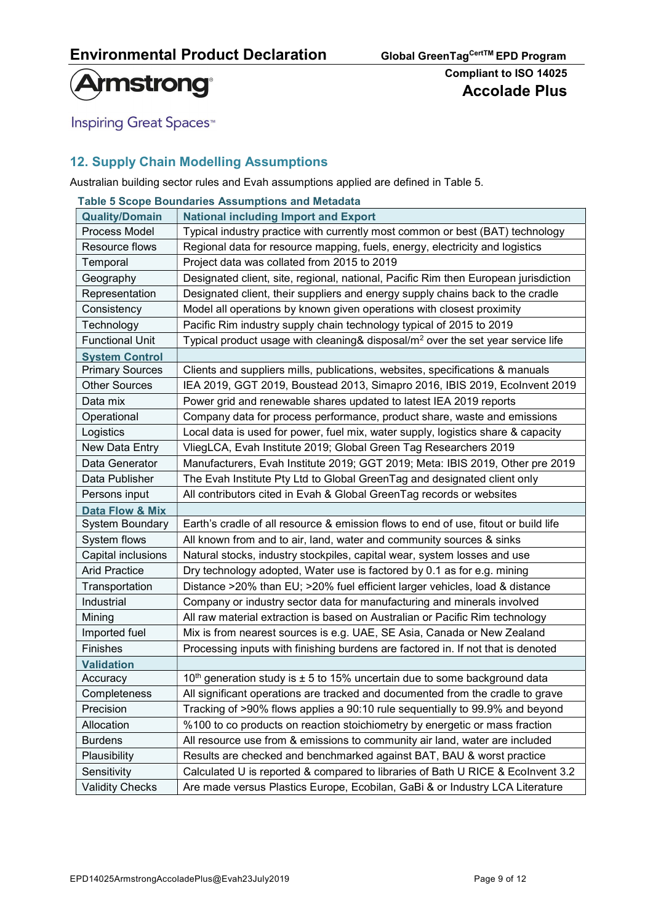

**Inspiring Great Spaces<sup>™</sup>** 

## 12. Supply Chain Modelling Assumptions

Australian building sector rules and Evah assumptions applied are defined in Table 5.

|                        | Table 5 Scope Boundaries Assumptions and Metadata                                           |
|------------------------|---------------------------------------------------------------------------------------------|
| <b>Quality/Domain</b>  | <b>National including Import and Export</b>                                                 |
| Process Model          | Typical industry practice with currently most common or best (BAT) technology               |
| Resource flows         | Regional data for resource mapping, fuels, energy, electricity and logistics                |
| Temporal               | Project data was collated from 2015 to 2019                                                 |
| Geography              | Designated client, site, regional, national, Pacific Rim then European jurisdiction         |
| Representation         | Designated client, their suppliers and energy supply chains back to the cradle              |
| Consistency            | Model all operations by known given operations with closest proximity                       |
| Technology             | Pacific Rim industry supply chain technology typical of 2015 to 2019                        |
| <b>Functional Unit</b> | Typical product usage with cleaning& disposal/m <sup>2</sup> over the set year service life |
| <b>System Control</b>  |                                                                                             |
| <b>Primary Sources</b> | Clients and suppliers mills, publications, websites, specifications & manuals               |
| <b>Other Sources</b>   | IEA 2019, GGT 2019, Boustead 2013, Simapro 2016, IBIS 2019, Ecolnvent 2019                  |
| Data mix               | Power grid and renewable shares updated to latest IEA 2019 reports                          |
| Operational            | Company data for process performance, product share, waste and emissions                    |
| Logistics              | Local data is used for power, fuel mix, water supply, logistics share & capacity            |
| New Data Entry         | VliegLCA, Evah Institute 2019; Global Green Tag Researchers 2019                            |
| Data Generator         | Manufacturers, Evah Institute 2019; GGT 2019; Meta: IBIS 2019, Other pre 2019               |
| Data Publisher         | The Evah Institute Pty Ltd to Global GreenTag and designated client only                    |
| Persons input          | All contributors cited in Evah & Global GreenTag records or websites                        |
| Data Flow & Mix        |                                                                                             |
| System Boundary        | Earth's cradle of all resource & emission flows to end of use, fitout or build life         |
| System flows           | All known from and to air, land, water and community sources & sinks                        |
| Capital inclusions     | Natural stocks, industry stockpiles, capital wear, system losses and use                    |
| <b>Arid Practice</b>   | Dry technology adopted, Water use is factored by 0.1 as for e.g. mining                     |
| Transportation         | Distance >20% than EU; >20% fuel efficient larger vehicles, load & distance                 |
| Industrial             | Company or industry sector data for manufacturing and minerals involved                     |
| Mining                 | All raw material extraction is based on Australian or Pacific Rim technology                |
| Imported fuel          | Mix is from nearest sources is e.g. UAE, SE Asia, Canada or New Zealand                     |
| Finishes               | Processing inputs with finishing burdens are factored in. If not that is denoted            |
| <b>Validation</b>      |                                                                                             |
| Accuracy               | 10 <sup>th</sup> generation study is $\pm$ 5 to 15% uncertain due to some background data   |
| Completeness           | All significant operations are tracked and documented from the cradle to grave              |
| Precision              | Tracking of >90% flows applies a 90:10 rule sequentially to 99.9% and beyond                |
| Allocation             | %100 to co products on reaction stoichiometry by energetic or mass fraction                 |
| <b>Burdens</b>         | All resource use from & emissions to community air land, water are included                 |
| Plausibility           | Results are checked and benchmarked against BAT, BAU & worst practice                       |
| Sensitivity            | Calculated U is reported & compared to libraries of Bath U RICE & Ecolnvent 3.2             |
| <b>Validity Checks</b> | Are made versus Plastics Europe, Ecobilan, GaBi & or Industry LCA Literature                |

Table 5 Scope Boundaries Assumptions and Metadata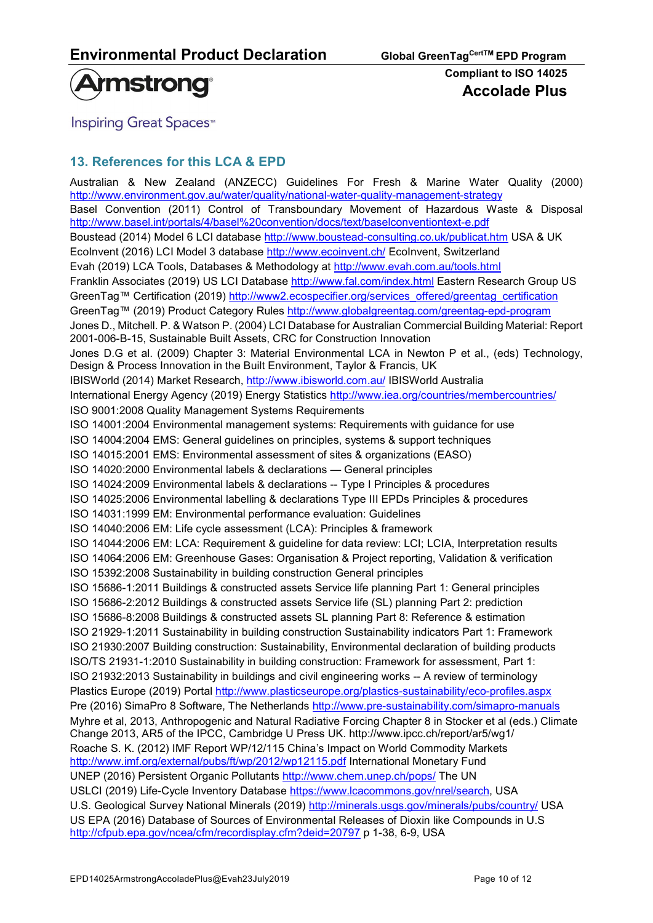

**Inspiring Great Spaces**<sup>™</sup>

# 13. References for this LCA & EPD

Australian & New Zealand (ANZECC) Guidelines For Fresh & Marine Water Quality (2000) http://www.environment.gov.au/water/quality/national-water-quality-management-strategy Basel Convention (2011) Control of Transboundary Movement of Hazardous Waste & Disposal http://www.basel.int/portals/4/basel%20convention/docs/text/baselconventiontext-e.pdf Boustead (2014) Model 6 LCI database http://www.boustead-consulting.co.uk/publicat.htm USA & UK EcoInvent (2016) LCI Model 3 database http://www.ecoinvent.ch/ EcoInvent, Switzerland Evah (2019) LCA Tools, Databases & Methodology at http://www.evah.com.au/tools.html Franklin Associates (2019) US LCI Database http://www.fal.com/index.html Eastern Research Group US GreenTag™ Certification (2019) http://www2.ecospecifier.org/services\_offered/greentag\_certification GreenTag™ (2019) Product Category Rules http://www.globalgreentag.com/greentag-epd-program Jones D., Mitchell. P. & Watson P. (2004) LCI Database for Australian Commercial Building Material: Report 2001-006-B-15, Sustainable Built Assets, CRC for Construction Innovation Jones D.G et al. (2009) Chapter 3: Material Environmental LCA in Newton P et al., (eds) Technology, Design & Process Innovation in the Built Environment, Taylor & Francis, UK IBISWorld (2014) Market Research, http://www.ibisworld.com.au/ IBISWorld Australia International Energy Agency (2019) Energy Statistics http://www.iea.org/countries/membercountries/ ISO 9001:2008 Quality Management Systems Requirements ISO 14001:2004 Environmental management systems: Requirements with guidance for use ISO 14004:2004 EMS: General guidelines on principles, systems & support techniques ISO 14015:2001 EMS: Environmental assessment of sites & organizations (EASO) ISO 14020:2000 Environmental labels & declarations — General principles ISO 14024:2009 Environmental labels & declarations -- Type I Principles & procedures ISO 14025:2006 Environmental labelling & declarations Type III EPDs Principles & procedures ISO 14031:1999 EM: Environmental performance evaluation: Guidelines ISO 14040:2006 EM: Life cycle assessment (LCA): Principles & framework ISO 14044:2006 EM: LCA: Requirement & guideline for data review: LCI; LCIA, Interpretation results ISO 14064:2006 EM: Greenhouse Gases: Organisation & Project reporting, Validation & verification ISO 15392:2008 Sustainability in building construction General principles ISO 15686-1:2011 Buildings & constructed assets Service life planning Part 1: General principles ISO 15686-2:2012 Buildings & constructed assets Service life (SL) planning Part 2: prediction ISO 15686-8:2008 Buildings & constructed assets SL planning Part 8: Reference & estimation ISO 21929-1:2011 Sustainability in building construction Sustainability indicators Part 1: Framework ISO 21930:2007 Building construction: Sustainability, Environmental declaration of building products ISO/TS 21931-1:2010 Sustainability in building construction: Framework for assessment, Part 1: ISO 21932:2013 Sustainability in buildings and civil engineering works -- A review of terminology Plastics Europe (2019) Portal http://www.plasticseurope.org/plastics-sustainability/eco-profiles.aspx Pre (2016) SimaPro 8 Software, The Netherlands http://www.pre-sustainability.com/simapro-manuals Myhre et al, 2013, Anthropogenic and Natural Radiative Forcing Chapter 8 in Stocker et al (eds.) Climate Change 2013, AR5 of the IPCC, Cambridge U Press UK. http://www.ipcc.ch/report/ar5/wg1/ Roache S. K. (2012) IMF Report WP/12/115 China's Impact on World Commodity Markets http://www.imf.org/external/pubs/ft/wp/2012/wp12115.pdf International Monetary Fund UNEP (2016) Persistent Organic Pollutants http://www.chem.unep.ch/pops/ The UN USLCI (2019) Life-Cycle Inventory Database https://www.lcacommons.gov/nrel/search, USA U.S. Geological Survey National Minerals (2019) http://minerals.usgs.gov/minerals/pubs/country/ USA US EPA (2016) Database of Sources of Environmental Releases of Dioxin like Compounds in U.S http://cfpub.epa.gov/ncea/cfm/recordisplay.cfm?deid=20797 p 1-38, 6-9, USA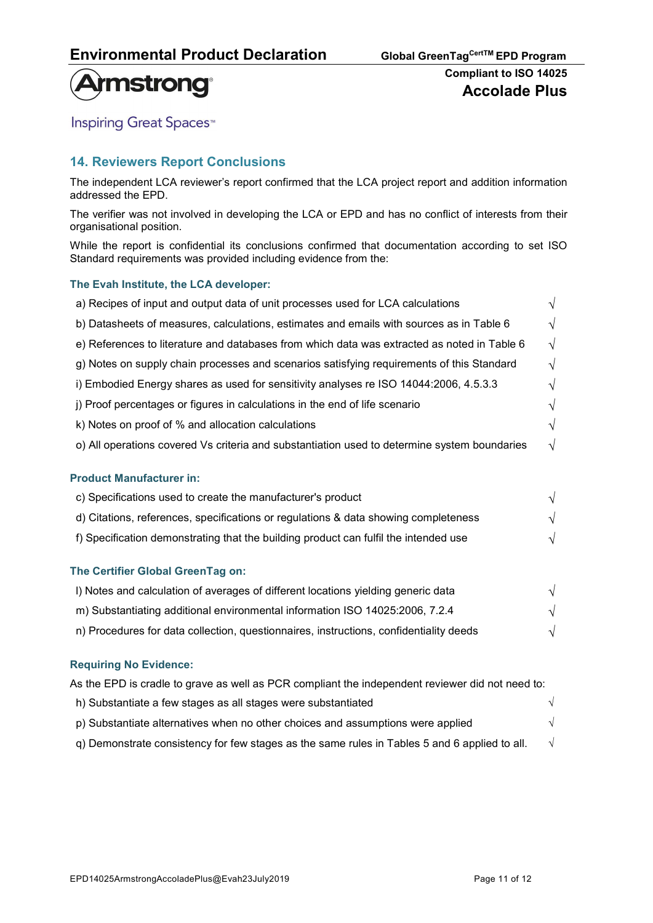

# **Armstrong**

Compliant to ISO 14025 Accolade Plus

**Inspiring Great Spaces<sup>™</sup>** 

# 14. Reviewers Report Conclusions

The independent LCA reviewer's report confirmed that the LCA project report and addition information addressed the EPD.

The verifier was not involved in developing the LCA or EPD and has no conflict of interests from their organisational position.

While the report is confidential its conclusions confirmed that documentation according to set ISO Standard requirements was provided including evidence from the:

### The Evah Institute, the LCA developer:

| a) Recipes of input and output data of unit processes used for LCA calculations              | $\sqrt{}$  |
|----------------------------------------------------------------------------------------------|------------|
| b) Datasheets of measures, calculations, estimates and emails with sources as in Table 6     | $\sqrt{ }$ |
| e) References to literature and databases from which data was extracted as noted in Table 6  | $\sqrt{}$  |
| g) Notes on supply chain processes and scenarios satisfying requirements of this Standard    | $\sqrt{ }$ |
| i) Embodied Energy shares as used for sensitivity analyses re ISO 14044:2006, 4.5.3.3        | $\sqrt{ }$ |
| j) Proof percentages or figures in calculations in the end of life scenario                  | $\sqrt{}$  |
| k) Notes on proof of % and allocation calculations                                           | $\sqrt{}$  |
| o) All operations covered Vs criteria and substantiation used to determine system boundaries | $\sqrt{}$  |
| <b>Product Manufacturer in:</b>                                                              |            |
| c) Specifications used to create the manufacturer's product                                  | $\sqrt{ }$ |
| d) Citations, references, specifications or regulations & data showing completeness          | $\sqrt{ }$ |
| f) Specification demonstrating that the building product can fulfil the intended use         | $\sqrt{ }$ |
| The Certifier Global GreenTag on:                                                            |            |
| I) Notes and calculation of averages of different locations yielding generic data            | $\sqrt{ }$ |
| m) Substantiating additional environmental information ISO 14025:2006, 7.2.4                 | $\sqrt{ }$ |
| n) Procedures for data collection, questionnaires, instructions, confidentiality deeds       | $\sqrt{}$  |
|                                                                                              |            |

### Requiring No Evidence:

As the EPD is cradle to grave as well as PCR compliant the independent reviewer did not need to:

| h) Substantiate a few stages as all stages were substantiated                                 |  |
|-----------------------------------------------------------------------------------------------|--|
| p) Substantiate alternatives when no other choices and assumptions were applied               |  |
| q) Demonstrate consistency for few stages as the same rules in Tables 5 and 6 applied to all. |  |